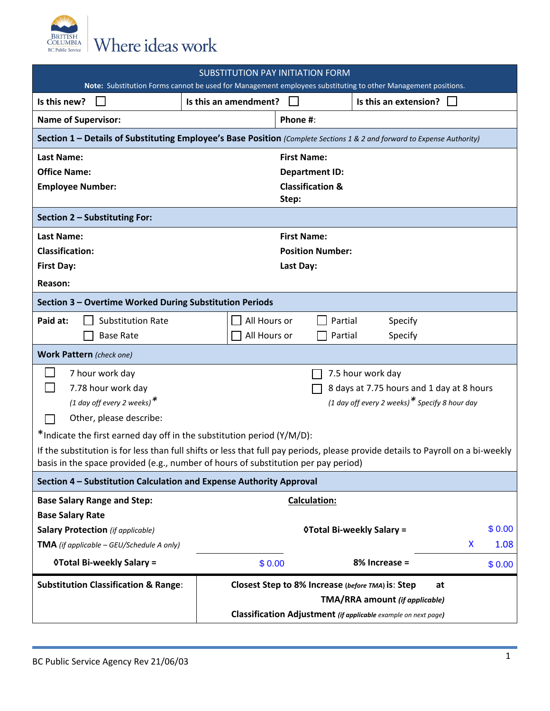

| SUBSTITUTION PAY INITIATION FORM<br>Note: Substitution Forms cannot be used for Management employees substituting to other Management positions.                                                                       |                                                         |                                                                |                                  |           |  |  |  |  |
|------------------------------------------------------------------------------------------------------------------------------------------------------------------------------------------------------------------------|---------------------------------------------------------|----------------------------------------------------------------|----------------------------------|-----------|--|--|--|--|
| Is this new?                                                                                                                                                                                                           | Is this an amendment?                                   |                                                                | Is this an extension?            |           |  |  |  |  |
| <b>Name of Supervisor:</b>                                                                                                                                                                                             |                                                         | Phone #:                                                       |                                  |           |  |  |  |  |
| Section 1 - Details of Substituting Employee's Base Position (Complete Sections 1 & 2 and forward to Expense Authority)                                                                                                |                                                         |                                                                |                                  |           |  |  |  |  |
| <b>Last Name:</b>                                                                                                                                                                                                      |                                                         | <b>First Name:</b>                                             |                                  |           |  |  |  |  |
| <b>Office Name:</b>                                                                                                                                                                                                    |                                                         | <b>Department ID:</b>                                          |                                  |           |  |  |  |  |
| <b>Employee Number:</b>                                                                                                                                                                                                |                                                         | <b>Classification &amp;</b><br>Step:                           |                                  |           |  |  |  |  |
| Section 2 - Substituting For:                                                                                                                                                                                          |                                                         |                                                                |                                  |           |  |  |  |  |
| <b>Last Name:</b>                                                                                                                                                                                                      |                                                         | <b>First Name:</b>                                             |                                  |           |  |  |  |  |
| <b>Classification:</b>                                                                                                                                                                                                 |                                                         | <b>Position Number:</b>                                        |                                  |           |  |  |  |  |
| <b>First Day:</b>                                                                                                                                                                                                      |                                                         | Last Day:                                                      |                                  |           |  |  |  |  |
| Reason:                                                                                                                                                                                                                |                                                         |                                                                |                                  |           |  |  |  |  |
| Section 3 - Overtime Worked During Substitution Periods                                                                                                                                                                |                                                         |                                                                |                                  |           |  |  |  |  |
| Paid at:<br><b>Substitution Rate</b>                                                                                                                                                                                   | All Hours or                                            | Partial                                                        | Specify                          |           |  |  |  |  |
| <b>Base Rate</b>                                                                                                                                                                                                       | All Hours or                                            | Partial                                                        | Specify                          |           |  |  |  |  |
| <b>Work Pattern</b> (check one)                                                                                                                                                                                        |                                                         |                                                                |                                  |           |  |  |  |  |
| 7 hour work day                                                                                                                                                                                                        |                                                         |                                                                | 7.5 hour work day                |           |  |  |  |  |
| 7.78 hour work day                                                                                                                                                                                                     |                                                         | 8 days at 7.75 hours and 1 day at 8 hours                      |                                  |           |  |  |  |  |
| (1 day off every 2 weeks) $*$                                                                                                                                                                                          |                                                         | (1 day off every 2 weeks) $*$ Specify 8 hour day               |                                  |           |  |  |  |  |
| Other, please describe:                                                                                                                                                                                                |                                                         |                                                                |                                  |           |  |  |  |  |
| *Indicate the first earned day off in the substitution period (Y/M/D):                                                                                                                                                 |                                                         |                                                                |                                  |           |  |  |  |  |
| If the substitution is for less than full shifts or less that full pay periods, please provide details to Payroll on a bi-weekly<br>basis in the space provided (e.g., number of hours of substitution per pay period) |                                                         |                                                                |                                  |           |  |  |  |  |
| Section 4 - Substitution Calculation and Expense Authority Approval                                                                                                                                                    |                                                         |                                                                |                                  |           |  |  |  |  |
| <b>Base Salary Range and Step:</b>                                                                                                                                                                                     |                                                         | Calculation:                                                   |                                  |           |  |  |  |  |
| <b>Base Salary Rate</b>                                                                                                                                                                                                |                                                         |                                                                |                                  |           |  |  |  |  |
| <b>Salary Protection</b> (if applicable)                                                                                                                                                                               |                                                         |                                                                | <b>OTotal Bi-weekly Salary =</b> | \$0.00    |  |  |  |  |
| <b>TMA</b> (if applicable - GEU/Schedule A only)                                                                                                                                                                       |                                                         |                                                                |                                  | 1.08<br>X |  |  |  |  |
| <b>OTotal Bi-weekly Salary =</b>                                                                                                                                                                                       | \$0.00                                                  |                                                                | 8% Increase =                    | \$0.00    |  |  |  |  |
| <b>Substitution Classification &amp; Range:</b>                                                                                                                                                                        | Closest Step to 8% Increase (before TMA) is: Step<br>at |                                                                |                                  |           |  |  |  |  |
| TMA/RRA amount (if applicable)                                                                                                                                                                                         |                                                         |                                                                |                                  |           |  |  |  |  |
|                                                                                                                                                                                                                        |                                                         | Classification Adjustment (if applicable example on next page) |                                  |           |  |  |  |  |